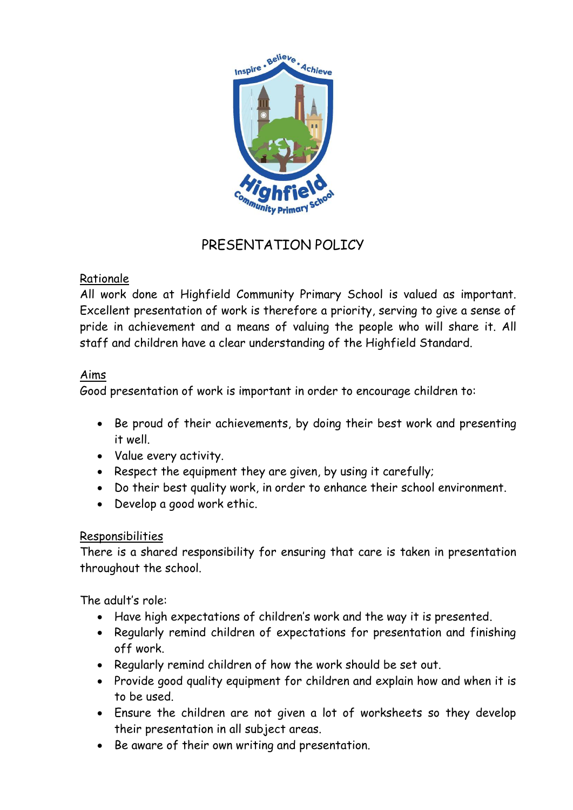

# PRESENTATION POLICY

## Rationale

All work done at Highfield Community Primary School is valued as important. Excellent presentation of work is therefore a priority, serving to give a sense of pride in achievement and a means of valuing the people who will share it. All staff and children have a clear understanding of the Highfield Standard.

## Aims

Good presentation of work is important in order to encourage children to:

- Be proud of their achievements, by doing their best work and presenting it well.
- Value every activity.
- Respect the equipment they are given, by using it carefully;
- Do their best quality work, in order to enhance their school environment.
- Develop a good work ethic.

## Responsibilities

There is a shared responsibility for ensuring that care is taken in presentation throughout the school.

The adult's role:

- Have high expectations of children's work and the way it is presented.
- Regularly remind children of expectations for presentation and finishing off work.
- Regularly remind children of how the work should be set out.
- Provide good quality equipment for children and explain how and when it is to be used.
- Ensure the children are not given a lot of worksheets so they develop their presentation in all subject areas.
- Be aware of their own writing and presentation.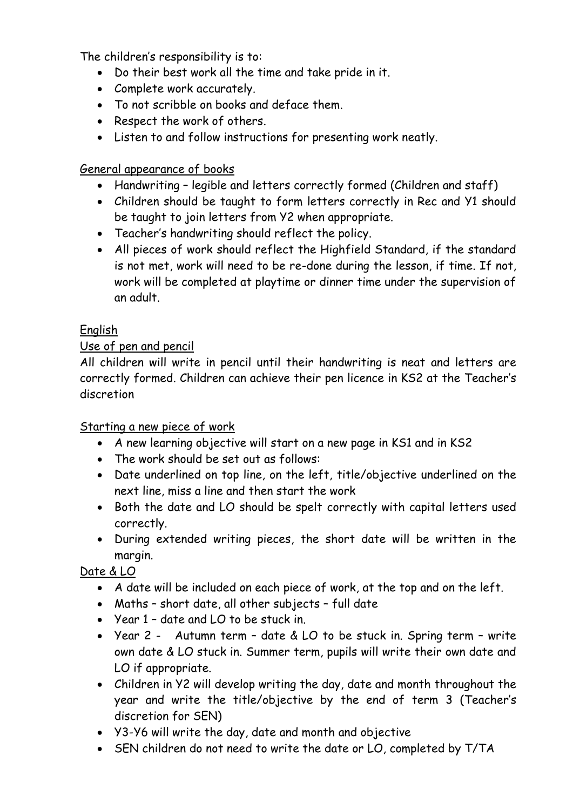The children's responsibility is to:

- Do their best work all the time and take pride in it.
- Complete work accurately.
- To not scribble on books and deface them.
- Respect the work of others.
- Listen to and follow instructions for presenting work neatly.

## General appearance of books

- Handwriting legible and letters correctly formed (Children and staff)
- Children should be taught to form letters correctly in Rec and Y1 should be taught to join letters from Y2 when appropriate.
- Teacher's handwriting should reflect the policy.
- All pieces of work should reflect the Highfield Standard, if the standard is not met, work will need to be re-done during the lesson, if time. If not, work will be completed at playtime or dinner time under the supervision of an adult.

# English

## Use of pen and pencil

All children will write in pencil until their handwriting is neat and letters are correctly formed. Children can achieve their pen licence in KS2 at the Teacher's discretion

## Starting a new piece of work

- A new learning objective will start on a new page in KS1 and in KS2
- The work should be set out as follows:
- Date underlined on top line, on the left, title/objective underlined on the next line, miss a line and then start the work
- Both the date and LO should be spelt correctly with capital letters used correctly.
- During extended writing pieces, the short date will be written in the margin.

Date & LO

- A date will be included on each piece of work, at the top and on the left.
- Maths short date, all other subjects full date
- Year 1 date and LO to be stuck in.
- Year 2 Autumn term date & LO to be stuck in. Spring term write own date & LO stuck in. Summer term, pupils will write their own date and LO if appropriate.
- Children in Y2 will develop writing the day, date and month throughout the year and write the title/objective by the end of term 3 (Teacher's discretion for SEN)
- Y3-Y6 will write the day, date and month and objective
- SEN children do not need to write the date or LO, completed by T/TA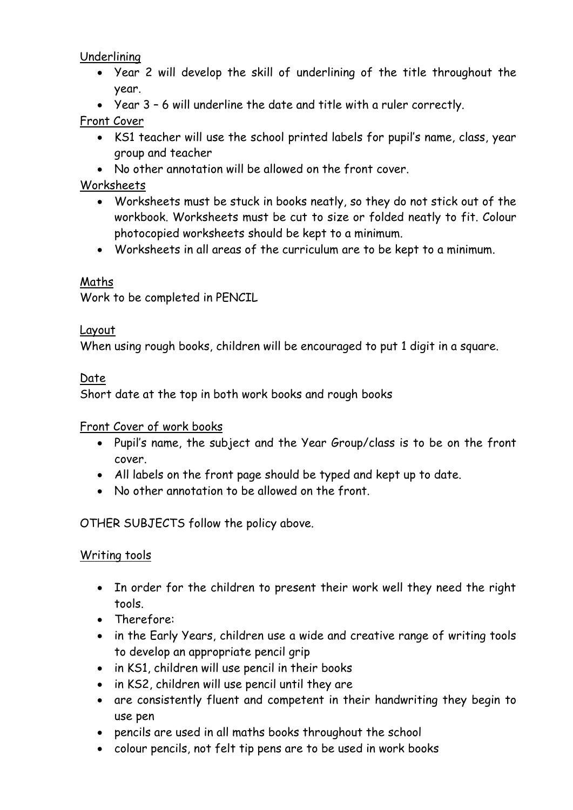Underlining

- Year 2 will develop the skill of underlining of the title throughout the year.
- Year 3 6 will underline the date and title with a ruler correctly.

#### Front Cover

- KS1 teacher will use the school printed labels for pupil's name, class, year group and teacher
- No other annotation will be allowed on the front cover.

#### Worksheets

- Worksheets must be stuck in books neatly, so they do not stick out of the workbook. Worksheets must be cut to size or folded neatly to fit. Colour photocopied worksheets should be kept to a minimum.
- Worksheets in all areas of the curriculum are to be kept to a minimum.

#### Maths

Work to be completed in PENCIL

#### Layout

When using rough books, children will be encouraged to put 1 digit in a square.

#### Date

Short date at the top in both work books and rough books

#### Front Cover of work books

- Pupil's name, the subject and the Year Group/class is to be on the front cover.
- All labels on the front page should be typed and kept up to date.
- No other annotation to be allowed on the front.

OTHER SUBJECTS follow the policy above.

#### Writing tools

- In order for the children to present their work well they need the right tools.
- Therefore:
- in the Early Years, children use a wide and creative range of writing tools to develop an appropriate pencil grip
- in KS1, children will use pencil in their books
- in KS2, children will use pencil until they are
- are consistently fluent and competent in their handwriting they begin to use pen
- pencils are used in all maths books throughout the school
- colour pencils, not felt tip pens are to be used in work books